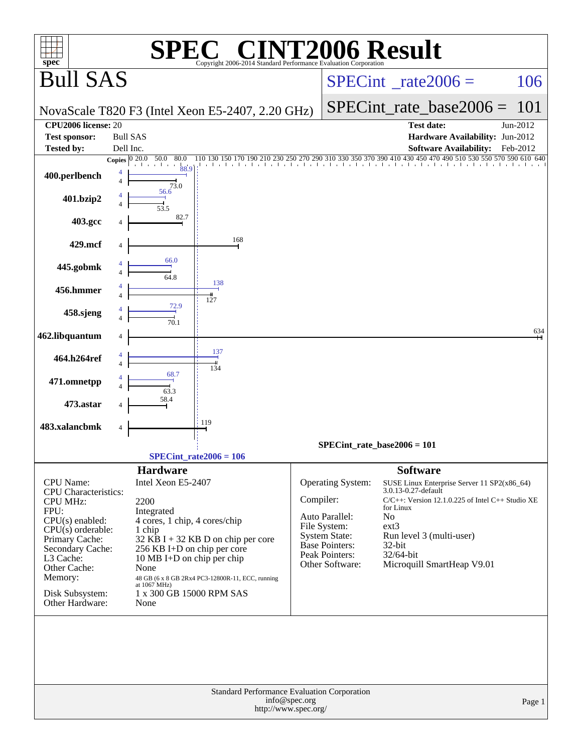| C <sup>®</sup> CINT2006 Result<br>$spec^*$<br>Copyright 2006-2014 Standard Performance Evaluation Cornoration |                     |                                                  |                                                  |                                       |                                         |                                                                                                     |          |  |  |  |
|---------------------------------------------------------------------------------------------------------------|---------------------|--------------------------------------------------|--------------------------------------------------|---------------------------------------|-----------------------------------------|-----------------------------------------------------------------------------------------------------|----------|--|--|--|
| <b>Bull SAS</b>                                                                                               |                     |                                                  |                                                  |                                       |                                         | $SPECint^{\circ}$ rate $2006 =$                                                                     | 106      |  |  |  |
|                                                                                                               |                     |                                                  | NovaScale T820 F3 (Intel Xeon E5-2407, 2.20 GHz) |                                       |                                         | $SPECint_rate\_base2006 =$                                                                          | 101      |  |  |  |
| CPU2006 license: 20                                                                                           |                     |                                                  |                                                  |                                       |                                         | <b>Test date:</b>                                                                                   | Jun-2012 |  |  |  |
| <b>Test sponsor:</b>                                                                                          |                     | <b>Bull SAS</b>                                  |                                                  |                                       |                                         | Hardware Availability: Jun-2012                                                                     |          |  |  |  |
| Tested by:                                                                                                    | Dell Inc.           | Copies $ 0, 20.0 - 50.0 $<br>80.0                |                                                  |                                       |                                         | <b>Software Availability:</b>                                                                       | Feb-2012 |  |  |  |
| 400.perlbench                                                                                                 | 4<br>$\overline{4}$ | 88.9<br>73.0                                     |                                                  |                                       |                                         | 110 130 150 170 190 210 230 250 270 290 310 330 350 370 390 410 430 450 470 490 510 530 550 570 590 |          |  |  |  |
| 401.bzip2                                                                                                     |                     | 56.6                                             |                                                  |                                       |                                         |                                                                                                     |          |  |  |  |
| 403.gcc                                                                                                       |                     | 82.7                                             |                                                  |                                       |                                         |                                                                                                     |          |  |  |  |
| 429.mcf                                                                                                       |                     |                                                  | 168                                              |                                       |                                         |                                                                                                     |          |  |  |  |
| 445.gobmk                                                                                                     |                     | 66.0<br>64.8                                     |                                                  |                                       |                                         |                                                                                                     |          |  |  |  |
| 456.hmmer                                                                                                     |                     |                                                  | 138<br>127                                       |                                       |                                         |                                                                                                     |          |  |  |  |
| 458.sjeng                                                                                                     |                     | 72.9<br>70.1                                     |                                                  |                                       |                                         |                                                                                                     |          |  |  |  |
| 462.libquantum                                                                                                |                     |                                                  |                                                  |                                       |                                         |                                                                                                     | 634      |  |  |  |
| 464.h264ref                                                                                                   |                     |                                                  | 137<br>134                                       |                                       |                                         |                                                                                                     |          |  |  |  |
| 471.omnetpp                                                                                                   |                     |                                                  |                                                  |                                       |                                         |                                                                                                     |          |  |  |  |
| 473.astar                                                                                                     |                     |                                                  |                                                  |                                       |                                         |                                                                                                     |          |  |  |  |
| 483.xalancbmk                                                                                                 |                     |                                                  | 119                                              |                                       |                                         |                                                                                                     |          |  |  |  |
|                                                                                                               |                     |                                                  |                                                  | SPECint rate base $2006 = 101$        |                                         |                                                                                                     |          |  |  |  |
|                                                                                                               |                     |                                                  | SPECint rate $2006 = 106$                        |                                       |                                         |                                                                                                     |          |  |  |  |
| CPU Name:                                                                                                     |                     | <b>Hardware</b><br>Intel Xeon E5-2407            |                                                  |                                       | Operating System:                       | <b>Software</b><br>SUSE Linux Enterprise Server 11 SP2(x86_64)                                      |          |  |  |  |
| <b>CPU</b> Characteristics:                                                                                   |                     |                                                  |                                                  |                                       |                                         | 3.0.13-0.27-default                                                                                 |          |  |  |  |
| <b>CPU MHz:</b><br>FPU:                                                                                       |                     | 2200<br>Integrated                               |                                                  | Compiler:                             |                                         | $C/C++$ : Version 12.1.0.225 of Intel $C++$ Studio XE<br>for Linux                                  |          |  |  |  |
| $CPU(s)$ enabled:                                                                                             |                     | 4 cores, 1 chip, 4 cores/chip                    |                                                  |                                       | Auto Parallel:<br>File System:          | N <sub>0</sub><br>$ext{3}$                                                                          |          |  |  |  |
| $CPU(s)$ orderable:<br>Primary Cache:                                                                         |                     | 1 chip                                           | $32$ KB I + 32 KB D on chip per core             |                                       | <b>System State:</b>                    | Run level 3 (multi-user)                                                                            |          |  |  |  |
| Secondary Cache:                                                                                              |                     | 256 KB I+D on chip per core                      |                                                  |                                       | <b>Base Pointers:</b><br>Peak Pointers: | 32-bit<br>32/64-bit                                                                                 |          |  |  |  |
| L3 Cache:<br>Other Cache:                                                                                     |                     | 10 MB I+D on chip per chip<br>None               |                                                  |                                       | Other Software:                         | Microquill SmartHeap V9.01                                                                          |          |  |  |  |
| Memory:                                                                                                       |                     |                                                  | 48 GB (6 x 8 GB 2Rx4 PC3-12800R-11, ECC, running |                                       |                                         |                                                                                                     |          |  |  |  |
| Disk Subsystem:<br>Other Hardware:                                                                            |                     | at 1067 MHz)<br>1 x 300 GB 15000 RPM SAS<br>None |                                                  |                                       |                                         |                                                                                                     |          |  |  |  |
|                                                                                                               |                     |                                                  |                                                  |                                       |                                         |                                                                                                     |          |  |  |  |
|                                                                                                               |                     |                                                  |                                                  |                                       |                                         |                                                                                                     |          |  |  |  |
|                                                                                                               |                     |                                                  |                                                  |                                       |                                         |                                                                                                     |          |  |  |  |
|                                                                                                               |                     |                                                  | Standard Performance Evaluation Corporation      | info@spec.org<br>http://www.spec.org/ |                                         |                                                                                                     | Page 1   |  |  |  |
|                                                                                                               |                     |                                                  |                                                  |                                       |                                         |                                                                                                     |          |  |  |  |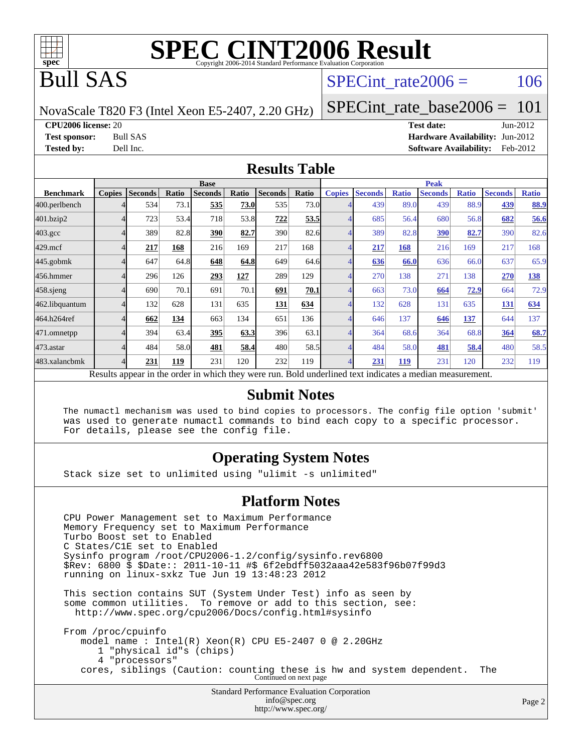

## Bull SAS

### SPECint rate $2006 = 106$

NovaScale T820 F3 (Intel Xeon E5-2407, 2.20 GHz)

[SPECint\\_rate\\_base2006 =](http://www.spec.org/auto/cpu2006/Docs/result-fields.html#SPECintratebase2006) 101

**[CPU2006 license:](http://www.spec.org/auto/cpu2006/Docs/result-fields.html#CPU2006license)** 20 **[Test date:](http://www.spec.org/auto/cpu2006/Docs/result-fields.html#Testdate)** Jun-2012

**[Test sponsor:](http://www.spec.org/auto/cpu2006/Docs/result-fields.html#Testsponsor)** Bull SAS **[Hardware Availability:](http://www.spec.org/auto/cpu2006/Docs/result-fields.html#HardwareAvailability)** Jun-2012 **[Tested by:](http://www.spec.org/auto/cpu2006/Docs/result-fields.html#Testedby)** Dell Inc. **[Software Availability:](http://www.spec.org/auto/cpu2006/Docs/result-fields.html#SoftwareAvailability)** Feb-2012

#### **[Results Table](http://www.spec.org/auto/cpu2006/Docs/result-fields.html#ResultsTable)**

|                                                                                                          | <b>Base</b>   |                |       |                |       |                |       | <b>Peak</b>   |                |              |                |              |                |              |
|----------------------------------------------------------------------------------------------------------|---------------|----------------|-------|----------------|-------|----------------|-------|---------------|----------------|--------------|----------------|--------------|----------------|--------------|
| <b>Benchmark</b>                                                                                         | <b>Copies</b> | <b>Seconds</b> | Ratio | <b>Seconds</b> | Ratio | <b>Seconds</b> | Ratio | <b>Copies</b> | <b>Seconds</b> | <b>Ratio</b> | <b>Seconds</b> | <b>Ratio</b> | <b>Seconds</b> | <b>Ratio</b> |
| 400.perlbench                                                                                            |               | 534            | 73.1  | 535            | 73.0  | 535            | 73.0  |               | 439            | 89.0         | 439            | 88.9         | 439            | 88.9         |
| 401.bzip2                                                                                                |               | 723            | 53.4  | 718            | 53.8  | 722            | 53.5  |               | 685            | 56.4         | 680            | 56.8         | 682            | 56.6         |
| $403.\mathrm{gcc}$                                                                                       |               | 389            | 82.8  | 390            | 82.7  | 390            | 82.6  |               | 389            | 82.8         | 390            | 82.7         | 390            | 82.6         |
| $429$ .mcf                                                                                               |               | 217            | 168   | 216            | 169   | 217            | 168   |               | 217            | 168          | 216            | 169          | 217            | 168          |
| $445$ .gobmk                                                                                             |               | 647            | 64.8  | 648            | 64.8  | 649            | 64.6  |               | 636            | 66.0         | 636            | 66.0         | 637            | 65.9         |
| 456.hmmer                                                                                                |               | 296            | 126   | 293            | 127   | 289            | 129   |               | 270            | 138          | 271            | 138          | 270            | 138          |
| 458 sjeng                                                                                                |               | 690            | 70.1  | 691            | 70.1  | 691            | 70.1  |               | 663            | 73.0         | 664            | 72.9         | 664            | 72.9         |
| 462.libquantum                                                                                           |               | 132            | 628   | 131            | 635   | 131            | 634   |               | 132            | 628          | 131            | 635          | 131            | 634          |
| 464.h264ref                                                                                              |               | 662            | 134   | 663            | 134   | 651            | 136   |               | 646            | 137          | 646            | 137          | 644            | 137          |
| 471.omnetpp                                                                                              |               | 394            | 63.4  | 395            | 63.3  | 396            | 63.1  |               | 364            | 68.6         | 364            | 68.8         | 364            | 68.7         |
| $473.$ astar                                                                                             |               | 484            | 58.0  | 481            | 58.4  | 480            | 58.5  |               | 484            | 58.0         | 481            | 58.4         | 480            | 58.5         |
| 483.xalancbmk                                                                                            |               | 231            | 119   | 231            | 120   | 232            | 119   |               | 231            | <u> 119</u>  | 231            | 120          | 232            | 119          |
| Results appear in the order in which they were run. Bold underlined text indicates a median measurement. |               |                |       |                |       |                |       |               |                |              |                |              |                |              |

#### **[Submit Notes](http://www.spec.org/auto/cpu2006/Docs/result-fields.html#SubmitNotes)**

 The numactl mechanism was used to bind copies to processors. The config file option 'submit' was used to generate numactl commands to bind each copy to a specific processor. For details, please see the config file.

### **[Operating System Notes](http://www.spec.org/auto/cpu2006/Docs/result-fields.html#OperatingSystemNotes)**

Stack size set to unlimited using "ulimit -s unlimited"

#### **[Platform Notes](http://www.spec.org/auto/cpu2006/Docs/result-fields.html#PlatformNotes)**

Standard Performance Evaluation Corporation [info@spec.org](mailto:info@spec.org) CPU Power Management set to Maximum Performance Memory Frequency set to Maximum Performance Turbo Boost set to Enabled C States/C1E set to Enabled Sysinfo program /root/CPU2006-1.2/config/sysinfo.rev6800 \$Rev: 6800 \$ \$Date:: 2011-10-11 #\$ 6f2ebdff5032aaa42e583f96b07f99d3 running on linux-sxkz Tue Jun 19 13:48:23 2012 This section contains SUT (System Under Test) info as seen by some common utilities. To remove or add to this section, see: <http://www.spec.org/cpu2006/Docs/config.html#sysinfo> From /proc/cpuinfo model name : Intel(R) Xeon(R) CPU E5-2407 0 @ 2.20GHz 1 "physical id"s (chips) 4 "processors" cores, siblings (Caution: counting these is hw and system dependent. The Continued on next page

<http://www.spec.org/>

Page 2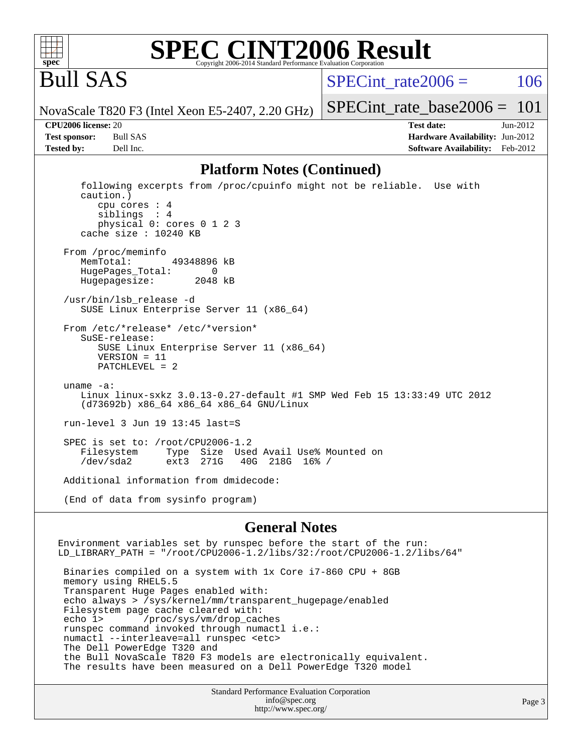

#### **[SPEC CINT2006 Result](http://www.spec.org/auto/cpu2006/Docs/result-fields.html#SPECCINT2006Result)** Copyright 2006-2014 Standard Performance Evaluation C

Bull SAS

SPECint rate $2006 = 106$ 

[SPECint\\_rate\\_base2006 =](http://www.spec.org/auto/cpu2006/Docs/result-fields.html#SPECintratebase2006) 101

NovaScale T820 F3 (Intel Xeon E5-2407, 2.20 GHz)

**[CPU2006 license:](http://www.spec.org/auto/cpu2006/Docs/result-fields.html#CPU2006license)** 20 **[Test date:](http://www.spec.org/auto/cpu2006/Docs/result-fields.html#Testdate)** Jun-2012 **[Test sponsor:](http://www.spec.org/auto/cpu2006/Docs/result-fields.html#Testsponsor)** Bull SAS **[Hardware Availability:](http://www.spec.org/auto/cpu2006/Docs/result-fields.html#HardwareAvailability)** Jun-2012 **[Tested by:](http://www.spec.org/auto/cpu2006/Docs/result-fields.html#Testedby)** Dell Inc. **[Software Availability:](http://www.spec.org/auto/cpu2006/Docs/result-fields.html#SoftwareAvailability)** Feb-2012

#### **[Platform Notes \(Continued\)](http://www.spec.org/auto/cpu2006/Docs/result-fields.html#PlatformNotes)**

 following excerpts from /proc/cpuinfo might not be reliable. Use with caution.) cpu cores : 4 siblings : 4 physical 0: cores 0 1 2 3 cache size : 10240 KB From /proc/meminfo MemTotal: 49348896 kB HugePages\_Total: 0<br>Hugepagesize: 2048 kB Hugepagesize: /usr/bin/lsb\_release -d SUSE Linux Enterprise Server 11 (x86\_64) From /etc/\*release\* /etc/\*version\* SuSE-release: SUSE Linux Enterprise Server 11 (x86\_64) VERSION = 11 PATCHLEVEL = 2 uname -a: Linux linux-sxkz 3.0.13-0.27-default #1 SMP Wed Feb 15 13:33:49 UTC 2012 (d73692b) x86\_64 x86\_64 x86\_64 GNU/Linux run-level 3 Jun 19 13:45 last=S SPEC is set to: /root/CPU2006-1.2<br>Filesystem Type Size Use Type Size Used Avail Use% Mounted on /dev/sda2 ext3 271G 40G 218G 16% / Additional information from dmidecode: (End of data from sysinfo program)

#### **[General Notes](http://www.spec.org/auto/cpu2006/Docs/result-fields.html#GeneralNotes)**

Environment variables set by runspec before the start of the run: LD\_LIBRARY\_PATH = "/root/CPU2006-1.2/libs/32:/root/CPU2006-1.2/libs/64" Binaries compiled on a system with 1x Core i7-860 CPU + 8GB memory using RHEL5.5 Transparent Huge Pages enabled with: echo always > /sys/kernel/mm/transparent\_hugepage/enabled Filesystem page cache cleared with: echo 1> /proc/sys/vm/drop\_caches runspec command invoked through numactl i.e.: numactl --interleave=all runspec <etc> The Dell PowerEdge T320 and the Bull NovaScale T820 F3 models are electronically equivalent. The results have been measured on a Dell PowerEdge T320 model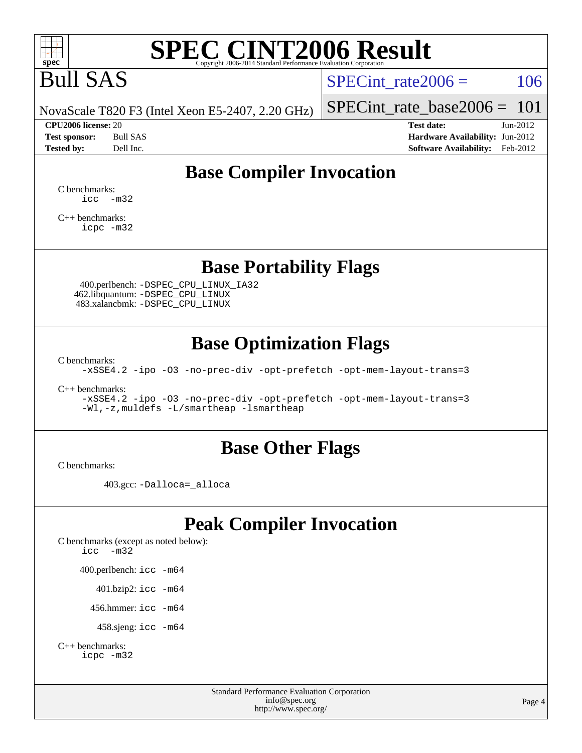

# Bull SAS

SPECint rate $2006 = 106$ 

NovaScale T820 F3 (Intel Xeon E5-2407, 2.20 GHz)

[SPECint\\_rate\\_base2006 =](http://www.spec.org/auto/cpu2006/Docs/result-fields.html#SPECintratebase2006) 101 **[CPU2006 license:](http://www.spec.org/auto/cpu2006/Docs/result-fields.html#CPU2006license)** 20 **[Test date:](http://www.spec.org/auto/cpu2006/Docs/result-fields.html#Testdate)** Jun-2012

**[Test sponsor:](http://www.spec.org/auto/cpu2006/Docs/result-fields.html#Testsponsor)** Bull SAS **[Hardware Availability:](http://www.spec.org/auto/cpu2006/Docs/result-fields.html#HardwareAvailability)** Jun-2012 **[Tested by:](http://www.spec.org/auto/cpu2006/Docs/result-fields.html#Testedby)** Dell Inc. **[Software Availability:](http://www.spec.org/auto/cpu2006/Docs/result-fields.html#SoftwareAvailability)** Feb-2012

## **[Base Compiler Invocation](http://www.spec.org/auto/cpu2006/Docs/result-fields.html#BaseCompilerInvocation)**

[C benchmarks](http://www.spec.org/auto/cpu2006/Docs/result-fields.html#Cbenchmarks): [icc -m32](http://www.spec.org/cpu2006/results/res2012q3/cpu2006-20120703-23438.flags.html#user_CCbase_intel_icc_5ff4a39e364c98233615fdd38438c6f2)

[C++ benchmarks:](http://www.spec.org/auto/cpu2006/Docs/result-fields.html#CXXbenchmarks) [icpc -m32](http://www.spec.org/cpu2006/results/res2012q3/cpu2006-20120703-23438.flags.html#user_CXXbase_intel_icpc_4e5a5ef1a53fd332b3c49e69c3330699)

**[Base Portability Flags](http://www.spec.org/auto/cpu2006/Docs/result-fields.html#BasePortabilityFlags)**

 400.perlbench: [-DSPEC\\_CPU\\_LINUX\\_IA32](http://www.spec.org/cpu2006/results/res2012q3/cpu2006-20120703-23438.flags.html#b400.perlbench_baseCPORTABILITY_DSPEC_CPU_LINUX_IA32) 462.libquantum: [-DSPEC\\_CPU\\_LINUX](http://www.spec.org/cpu2006/results/res2012q3/cpu2006-20120703-23438.flags.html#b462.libquantum_baseCPORTABILITY_DSPEC_CPU_LINUX) 483.xalancbmk: [-DSPEC\\_CPU\\_LINUX](http://www.spec.org/cpu2006/results/res2012q3/cpu2006-20120703-23438.flags.html#b483.xalancbmk_baseCXXPORTABILITY_DSPEC_CPU_LINUX)

## **[Base Optimization Flags](http://www.spec.org/auto/cpu2006/Docs/result-fields.html#BaseOptimizationFlags)**

[C benchmarks](http://www.spec.org/auto/cpu2006/Docs/result-fields.html#Cbenchmarks):

[-xSSE4.2](http://www.spec.org/cpu2006/results/res2012q3/cpu2006-20120703-23438.flags.html#user_CCbase_f-xSSE42_f91528193cf0b216347adb8b939d4107) [-ipo](http://www.spec.org/cpu2006/results/res2012q3/cpu2006-20120703-23438.flags.html#user_CCbase_f-ipo) [-O3](http://www.spec.org/cpu2006/results/res2012q3/cpu2006-20120703-23438.flags.html#user_CCbase_f-O3) [-no-prec-div](http://www.spec.org/cpu2006/results/res2012q3/cpu2006-20120703-23438.flags.html#user_CCbase_f-no-prec-div) [-opt-prefetch](http://www.spec.org/cpu2006/results/res2012q3/cpu2006-20120703-23438.flags.html#user_CCbase_f-opt-prefetch) [-opt-mem-layout-trans=3](http://www.spec.org/cpu2006/results/res2012q3/cpu2006-20120703-23438.flags.html#user_CCbase_f-opt-mem-layout-trans_a7b82ad4bd7abf52556d4961a2ae94d5)

[C++ benchmarks:](http://www.spec.org/auto/cpu2006/Docs/result-fields.html#CXXbenchmarks)

[-xSSE4.2](http://www.spec.org/cpu2006/results/res2012q3/cpu2006-20120703-23438.flags.html#user_CXXbase_f-xSSE42_f91528193cf0b216347adb8b939d4107) [-ipo](http://www.spec.org/cpu2006/results/res2012q3/cpu2006-20120703-23438.flags.html#user_CXXbase_f-ipo) [-O3](http://www.spec.org/cpu2006/results/res2012q3/cpu2006-20120703-23438.flags.html#user_CXXbase_f-O3) [-no-prec-div](http://www.spec.org/cpu2006/results/res2012q3/cpu2006-20120703-23438.flags.html#user_CXXbase_f-no-prec-div) [-opt-prefetch](http://www.spec.org/cpu2006/results/res2012q3/cpu2006-20120703-23438.flags.html#user_CXXbase_f-opt-prefetch) [-opt-mem-layout-trans=3](http://www.spec.org/cpu2006/results/res2012q3/cpu2006-20120703-23438.flags.html#user_CXXbase_f-opt-mem-layout-trans_a7b82ad4bd7abf52556d4961a2ae94d5) [-Wl,-z,muldefs](http://www.spec.org/cpu2006/results/res2012q3/cpu2006-20120703-23438.flags.html#user_CXXbase_link_force_multiple1_74079c344b956b9658436fd1b6dd3a8a) [-L/smartheap -lsmartheap](http://www.spec.org/cpu2006/results/res2012q3/cpu2006-20120703-23438.flags.html#user_CXXbase_SmartHeap_7c9e394a5779e1a7fec7c221e123830c)

### **[Base Other Flags](http://www.spec.org/auto/cpu2006/Docs/result-fields.html#BaseOtherFlags)**

[C benchmarks](http://www.spec.org/auto/cpu2006/Docs/result-fields.html#Cbenchmarks):

403.gcc: [-Dalloca=\\_alloca](http://www.spec.org/cpu2006/results/res2012q3/cpu2006-20120703-23438.flags.html#b403.gcc_baseEXTRA_CFLAGS_Dalloca_be3056838c12de2578596ca5467af7f3)

## **[Peak Compiler Invocation](http://www.spec.org/auto/cpu2006/Docs/result-fields.html#PeakCompilerInvocation)**

[C benchmarks \(except as noted below\)](http://www.spec.org/auto/cpu2006/Docs/result-fields.html#Cbenchmarksexceptasnotedbelow): [icc -m32](http://www.spec.org/cpu2006/results/res2012q3/cpu2006-20120703-23438.flags.html#user_CCpeak_intel_icc_5ff4a39e364c98233615fdd38438c6f2) 400.perlbench: [icc -m64](http://www.spec.org/cpu2006/results/res2012q3/cpu2006-20120703-23438.flags.html#user_peakCCLD400_perlbench_intel_icc_64bit_bda6cc9af1fdbb0edc3795bac97ada53) 401.bzip2: [icc -m64](http://www.spec.org/cpu2006/results/res2012q3/cpu2006-20120703-23438.flags.html#user_peakCCLD401_bzip2_intel_icc_64bit_bda6cc9af1fdbb0edc3795bac97ada53)

456.hmmer: [icc -m64](http://www.spec.org/cpu2006/results/res2012q3/cpu2006-20120703-23438.flags.html#user_peakCCLD456_hmmer_intel_icc_64bit_bda6cc9af1fdbb0edc3795bac97ada53)

458.sjeng: [icc -m64](http://www.spec.org/cpu2006/results/res2012q3/cpu2006-20120703-23438.flags.html#user_peakCCLD458_sjeng_intel_icc_64bit_bda6cc9af1fdbb0edc3795bac97ada53)

```
C++ benchmarks: 
icpc -m32
```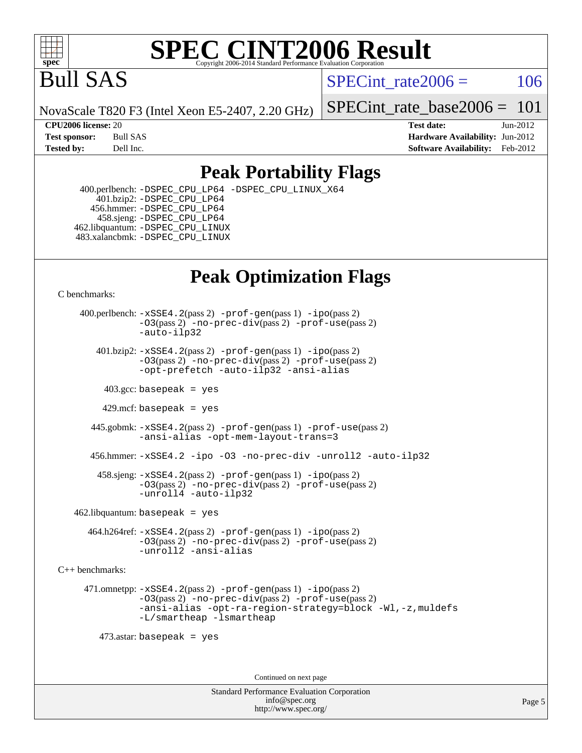

Bull SAS

SPECint rate $2006 = 106$ 

NovaScale T820 F3 (Intel Xeon E5-2407, 2.20 GHz)

[SPECint\\_rate\\_base2006 =](http://www.spec.org/auto/cpu2006/Docs/result-fields.html#SPECintratebase2006) 101

**[CPU2006 license:](http://www.spec.org/auto/cpu2006/Docs/result-fields.html#CPU2006license)** 20 **[Test date:](http://www.spec.org/auto/cpu2006/Docs/result-fields.html#Testdate)** Jun-2012 **[Test sponsor:](http://www.spec.org/auto/cpu2006/Docs/result-fields.html#Testsponsor)** Bull SAS **[Hardware Availability:](http://www.spec.org/auto/cpu2006/Docs/result-fields.html#HardwareAvailability)** Jun-2012 **[Tested by:](http://www.spec.org/auto/cpu2006/Docs/result-fields.html#Testedby)** Dell Inc. **[Software Availability:](http://www.spec.org/auto/cpu2006/Docs/result-fields.html#SoftwareAvailability)** Feb-2012

## **[Peak Portability Flags](http://www.spec.org/auto/cpu2006/Docs/result-fields.html#PeakPortabilityFlags)**

 400.perlbench: [-DSPEC\\_CPU\\_LP64](http://www.spec.org/cpu2006/results/res2012q3/cpu2006-20120703-23438.flags.html#b400.perlbench_peakCPORTABILITY_DSPEC_CPU_LP64) [-DSPEC\\_CPU\\_LINUX\\_X64](http://www.spec.org/cpu2006/results/res2012q3/cpu2006-20120703-23438.flags.html#b400.perlbench_peakCPORTABILITY_DSPEC_CPU_LINUX_X64) 401.bzip2: [-DSPEC\\_CPU\\_LP64](http://www.spec.org/cpu2006/results/res2012q3/cpu2006-20120703-23438.flags.html#suite_peakCPORTABILITY401_bzip2_DSPEC_CPU_LP64) 456.hmmer: [-DSPEC\\_CPU\\_LP64](http://www.spec.org/cpu2006/results/res2012q3/cpu2006-20120703-23438.flags.html#suite_peakCPORTABILITY456_hmmer_DSPEC_CPU_LP64) 458.sjeng: [-DSPEC\\_CPU\\_LP64](http://www.spec.org/cpu2006/results/res2012q3/cpu2006-20120703-23438.flags.html#suite_peakCPORTABILITY458_sjeng_DSPEC_CPU_LP64) 462.libquantum: [-DSPEC\\_CPU\\_LINUX](http://www.spec.org/cpu2006/results/res2012q3/cpu2006-20120703-23438.flags.html#b462.libquantum_peakCPORTABILITY_DSPEC_CPU_LINUX) 483.xalancbmk: [-DSPEC\\_CPU\\_LINUX](http://www.spec.org/cpu2006/results/res2012q3/cpu2006-20120703-23438.flags.html#b483.xalancbmk_peakCXXPORTABILITY_DSPEC_CPU_LINUX)

## **[Peak Optimization Flags](http://www.spec.org/auto/cpu2006/Docs/result-fields.html#PeakOptimizationFlags)**

[C benchmarks](http://www.spec.org/auto/cpu2006/Docs/result-fields.html#Cbenchmarks):

 400.perlbench: [-xSSE4.2](http://www.spec.org/cpu2006/results/res2012q3/cpu2006-20120703-23438.flags.html#user_peakPASS2_CFLAGSPASS2_LDCFLAGS400_perlbench_f-xSSE42_f91528193cf0b216347adb8b939d4107)(pass 2) [-prof-gen](http://www.spec.org/cpu2006/results/res2012q3/cpu2006-20120703-23438.flags.html#user_peakPASS1_CFLAGSPASS1_LDCFLAGS400_perlbench_prof_gen_e43856698f6ca7b7e442dfd80e94a8fc)(pass 1) [-ipo](http://www.spec.org/cpu2006/results/res2012q3/cpu2006-20120703-23438.flags.html#user_peakPASS2_CFLAGSPASS2_LDCFLAGS400_perlbench_f-ipo)(pass 2) [-O3](http://www.spec.org/cpu2006/results/res2012q3/cpu2006-20120703-23438.flags.html#user_peakPASS2_CFLAGSPASS2_LDCFLAGS400_perlbench_f-O3)(pass 2) [-no-prec-div](http://www.spec.org/cpu2006/results/res2012q3/cpu2006-20120703-23438.flags.html#user_peakPASS2_CFLAGSPASS2_LDCFLAGS400_perlbench_f-no-prec-div)(pass 2) [-prof-use](http://www.spec.org/cpu2006/results/res2012q3/cpu2006-20120703-23438.flags.html#user_peakPASS2_CFLAGSPASS2_LDCFLAGS400_perlbench_prof_use_bccf7792157ff70d64e32fe3e1250b55)(pass 2) [-auto-ilp32](http://www.spec.org/cpu2006/results/res2012q3/cpu2006-20120703-23438.flags.html#user_peakCOPTIMIZE400_perlbench_f-auto-ilp32)  $401.bzip2: -xSSE4.2(pass 2) -prof-qen(pass 1) -ipo(pass 2)$  $401.bzip2: -xSSE4.2(pass 2) -prof-qen(pass 1) -ipo(pass 2)$  $401.bzip2: -xSSE4.2(pass 2) -prof-qen(pass 1) -ipo(pass 2)$  $401.bzip2: -xSSE4.2(pass 2) -prof-qen(pass 1) -ipo(pass 2)$  $401.bzip2: -xSSE4.2(pass 2) -prof-qen(pass 1) -ipo(pass 2)$ [-O3](http://www.spec.org/cpu2006/results/res2012q3/cpu2006-20120703-23438.flags.html#user_peakPASS2_CFLAGSPASS2_LDCFLAGS401_bzip2_f-O3)(pass 2) [-no-prec-div](http://www.spec.org/cpu2006/results/res2012q3/cpu2006-20120703-23438.flags.html#user_peakPASS2_CFLAGSPASS2_LDCFLAGS401_bzip2_f-no-prec-div)(pass 2) [-prof-use](http://www.spec.org/cpu2006/results/res2012q3/cpu2006-20120703-23438.flags.html#user_peakPASS2_CFLAGSPASS2_LDCFLAGS401_bzip2_prof_use_bccf7792157ff70d64e32fe3e1250b55)(pass 2) [-opt-prefetch](http://www.spec.org/cpu2006/results/res2012q3/cpu2006-20120703-23438.flags.html#user_peakCOPTIMIZE401_bzip2_f-opt-prefetch) [-auto-ilp32](http://www.spec.org/cpu2006/results/res2012q3/cpu2006-20120703-23438.flags.html#user_peakCOPTIMIZE401_bzip2_f-auto-ilp32) [-ansi-alias](http://www.spec.org/cpu2006/results/res2012q3/cpu2006-20120703-23438.flags.html#user_peakCOPTIMIZE401_bzip2_f-ansi-alias)  $403.\text{sec: basepeak}$  = yes 429.mcf: basepeak = yes 445.gobmk: [-xSSE4.2](http://www.spec.org/cpu2006/results/res2012q3/cpu2006-20120703-23438.flags.html#user_peakPASS2_CFLAGSPASS2_LDCFLAGS445_gobmk_f-xSSE42_f91528193cf0b216347adb8b939d4107)(pass 2) [-prof-gen](http://www.spec.org/cpu2006/results/res2012q3/cpu2006-20120703-23438.flags.html#user_peakPASS1_CFLAGSPASS1_LDCFLAGS445_gobmk_prof_gen_e43856698f6ca7b7e442dfd80e94a8fc)(pass 1) [-prof-use](http://www.spec.org/cpu2006/results/res2012q3/cpu2006-20120703-23438.flags.html#user_peakPASS2_CFLAGSPASS2_LDCFLAGS445_gobmk_prof_use_bccf7792157ff70d64e32fe3e1250b55)(pass 2) [-ansi-alias](http://www.spec.org/cpu2006/results/res2012q3/cpu2006-20120703-23438.flags.html#user_peakCOPTIMIZE445_gobmk_f-ansi-alias) [-opt-mem-layout-trans=3](http://www.spec.org/cpu2006/results/res2012q3/cpu2006-20120703-23438.flags.html#user_peakCOPTIMIZE445_gobmk_f-opt-mem-layout-trans_a7b82ad4bd7abf52556d4961a2ae94d5) 456.hmmer: [-xSSE4.2](http://www.spec.org/cpu2006/results/res2012q3/cpu2006-20120703-23438.flags.html#user_peakCOPTIMIZE456_hmmer_f-xSSE42_f91528193cf0b216347adb8b939d4107) [-ipo](http://www.spec.org/cpu2006/results/res2012q3/cpu2006-20120703-23438.flags.html#user_peakCOPTIMIZE456_hmmer_f-ipo) [-O3](http://www.spec.org/cpu2006/results/res2012q3/cpu2006-20120703-23438.flags.html#user_peakCOPTIMIZE456_hmmer_f-O3) [-no-prec-div](http://www.spec.org/cpu2006/results/res2012q3/cpu2006-20120703-23438.flags.html#user_peakCOPTIMIZE456_hmmer_f-no-prec-div) [-unroll2](http://www.spec.org/cpu2006/results/res2012q3/cpu2006-20120703-23438.flags.html#user_peakCOPTIMIZE456_hmmer_f-unroll_784dae83bebfb236979b41d2422d7ec2) [-auto-ilp32](http://www.spec.org/cpu2006/results/res2012q3/cpu2006-20120703-23438.flags.html#user_peakCOPTIMIZE456_hmmer_f-auto-ilp32) 458.sjeng: [-xSSE4.2](http://www.spec.org/cpu2006/results/res2012q3/cpu2006-20120703-23438.flags.html#user_peakPASS2_CFLAGSPASS2_LDCFLAGS458_sjeng_f-xSSE42_f91528193cf0b216347adb8b939d4107)(pass 2) [-prof-gen](http://www.spec.org/cpu2006/results/res2012q3/cpu2006-20120703-23438.flags.html#user_peakPASS1_CFLAGSPASS1_LDCFLAGS458_sjeng_prof_gen_e43856698f6ca7b7e442dfd80e94a8fc)(pass 1) [-ipo](http://www.spec.org/cpu2006/results/res2012q3/cpu2006-20120703-23438.flags.html#user_peakPASS2_CFLAGSPASS2_LDCFLAGS458_sjeng_f-ipo)(pass 2) [-O3](http://www.spec.org/cpu2006/results/res2012q3/cpu2006-20120703-23438.flags.html#user_peakPASS2_CFLAGSPASS2_LDCFLAGS458_sjeng_f-O3)(pass 2) [-no-prec-div](http://www.spec.org/cpu2006/results/res2012q3/cpu2006-20120703-23438.flags.html#user_peakPASS2_CFLAGSPASS2_LDCFLAGS458_sjeng_f-no-prec-div)(pass 2) [-prof-use](http://www.spec.org/cpu2006/results/res2012q3/cpu2006-20120703-23438.flags.html#user_peakPASS2_CFLAGSPASS2_LDCFLAGS458_sjeng_prof_use_bccf7792157ff70d64e32fe3e1250b55)(pass 2) [-unroll4](http://www.spec.org/cpu2006/results/res2012q3/cpu2006-20120703-23438.flags.html#user_peakCOPTIMIZE458_sjeng_f-unroll_4e5e4ed65b7fd20bdcd365bec371b81f) [-auto-ilp32](http://www.spec.org/cpu2006/results/res2012q3/cpu2006-20120703-23438.flags.html#user_peakCOPTIMIZE458_sjeng_f-auto-ilp32)  $462$ .libquantum: basepeak = yes 464.h264ref: [-xSSE4.2](http://www.spec.org/cpu2006/results/res2012q3/cpu2006-20120703-23438.flags.html#user_peakPASS2_CFLAGSPASS2_LDCFLAGS464_h264ref_f-xSSE42_f91528193cf0b216347adb8b939d4107)(pass 2) [-prof-gen](http://www.spec.org/cpu2006/results/res2012q3/cpu2006-20120703-23438.flags.html#user_peakPASS1_CFLAGSPASS1_LDCFLAGS464_h264ref_prof_gen_e43856698f6ca7b7e442dfd80e94a8fc)(pass 1) [-ipo](http://www.spec.org/cpu2006/results/res2012q3/cpu2006-20120703-23438.flags.html#user_peakPASS2_CFLAGSPASS2_LDCFLAGS464_h264ref_f-ipo)(pass 2) [-O3](http://www.spec.org/cpu2006/results/res2012q3/cpu2006-20120703-23438.flags.html#user_peakPASS2_CFLAGSPASS2_LDCFLAGS464_h264ref_f-O3)(pass 2) [-no-prec-div](http://www.spec.org/cpu2006/results/res2012q3/cpu2006-20120703-23438.flags.html#user_peakPASS2_CFLAGSPASS2_LDCFLAGS464_h264ref_f-no-prec-div)(pass 2) [-prof-use](http://www.spec.org/cpu2006/results/res2012q3/cpu2006-20120703-23438.flags.html#user_peakPASS2_CFLAGSPASS2_LDCFLAGS464_h264ref_prof_use_bccf7792157ff70d64e32fe3e1250b55)(pass 2) [-unroll2](http://www.spec.org/cpu2006/results/res2012q3/cpu2006-20120703-23438.flags.html#user_peakCOPTIMIZE464_h264ref_f-unroll_784dae83bebfb236979b41d2422d7ec2) [-ansi-alias](http://www.spec.org/cpu2006/results/res2012q3/cpu2006-20120703-23438.flags.html#user_peakCOPTIMIZE464_h264ref_f-ansi-alias) [C++ benchmarks:](http://www.spec.org/auto/cpu2006/Docs/result-fields.html#CXXbenchmarks) 471.omnetpp: [-xSSE4.2](http://www.spec.org/cpu2006/results/res2012q3/cpu2006-20120703-23438.flags.html#user_peakPASS2_CXXFLAGSPASS2_LDCXXFLAGS471_omnetpp_f-xSSE42_f91528193cf0b216347adb8b939d4107)(pass 2) [-prof-gen](http://www.spec.org/cpu2006/results/res2012q3/cpu2006-20120703-23438.flags.html#user_peakPASS1_CXXFLAGSPASS1_LDCXXFLAGS471_omnetpp_prof_gen_e43856698f6ca7b7e442dfd80e94a8fc)(pass 1) [-ipo](http://www.spec.org/cpu2006/results/res2012q3/cpu2006-20120703-23438.flags.html#user_peakPASS2_CXXFLAGSPASS2_LDCXXFLAGS471_omnetpp_f-ipo)(pass 2)

[-O3](http://www.spec.org/cpu2006/results/res2012q3/cpu2006-20120703-23438.flags.html#user_peakPASS2_CXXFLAGSPASS2_LDCXXFLAGS471_omnetpp_f-O3)(pass 2) [-no-prec-div](http://www.spec.org/cpu2006/results/res2012q3/cpu2006-20120703-23438.flags.html#user_peakPASS2_CXXFLAGSPASS2_LDCXXFLAGS471_omnetpp_f-no-prec-div)(pass 2) [-prof-use](http://www.spec.org/cpu2006/results/res2012q3/cpu2006-20120703-23438.flags.html#user_peakPASS2_CXXFLAGSPASS2_LDCXXFLAGS471_omnetpp_prof_use_bccf7792157ff70d64e32fe3e1250b55)(pass 2) [-ansi-alias](http://www.spec.org/cpu2006/results/res2012q3/cpu2006-20120703-23438.flags.html#user_peakCXXOPTIMIZE471_omnetpp_f-ansi-alias) [-opt-ra-region-strategy=block](http://www.spec.org/cpu2006/results/res2012q3/cpu2006-20120703-23438.flags.html#user_peakCXXOPTIMIZE471_omnetpp_f-opt-ra-region-strategy_a0a37c372d03933b2a18d4af463c1f69) [-Wl,-z,muldefs](http://www.spec.org/cpu2006/results/res2012q3/cpu2006-20120703-23438.flags.html#user_peakEXTRA_LDFLAGS471_omnetpp_link_force_multiple1_74079c344b956b9658436fd1b6dd3a8a) [-L/smartheap -lsmartheap](http://www.spec.org/cpu2006/results/res2012q3/cpu2006-20120703-23438.flags.html#user_peakEXTRA_LIBS471_omnetpp_SmartHeap_7c9e394a5779e1a7fec7c221e123830c)

473.astar: basepeak = yes

Continued on next page